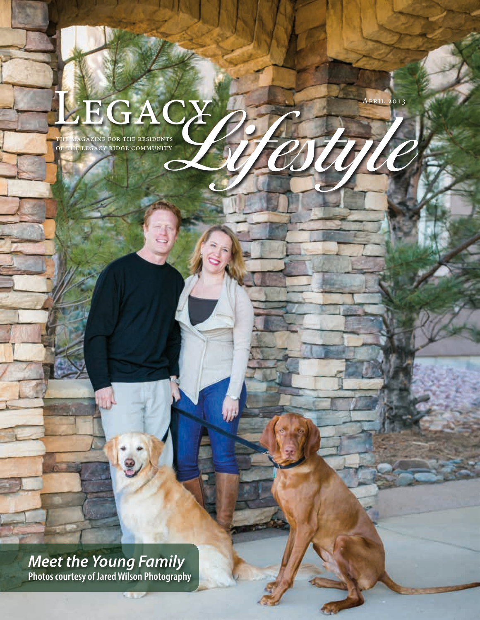# LEGACY POR THE RESIDENTS OF THE LEGACY RIDGE COMMUNITY

OF THE LEGACY RIDGE COMMUNITY

April 2013